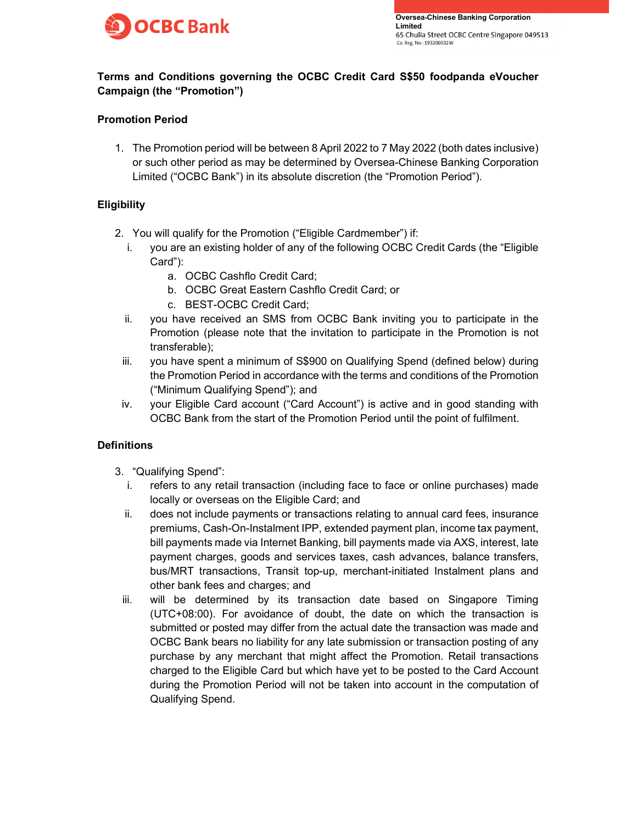

# Terms and Conditions governing the OCBC Credit Card S\$50 foodpanda eVoucher Campaign (the "Promotion")

# Promotion Period

1. The Promotion period will be between 8 April 2022 to 7 May 2022 (both dates inclusive) or such other period as may be determined by Oversea-Chinese Banking Corporation Limited ("OCBC Bank") in its absolute discretion (the "Promotion Period").

## **Eligibility**

- 2. You will qualify for the Promotion ("Eligible Cardmember") if:
	- i. you are an existing holder of any of the following OCBC Credit Cards (the "Eligible Card"):
		- a. OCBC Cashflo Credit Card;
		- b. OCBC Great Eastern Cashflo Credit Card; or
		- c. BEST-OCBC Credit Card;
	- ii. you have received an SMS from OCBC Bank inviting you to participate in the Promotion (please note that the invitation to participate in the Promotion is not transferable);
- iii. you have spent a minimum of S\$900 on Qualifying Spend (defined below) during the Promotion Period in accordance with the terms and conditions of the Promotion ("Minimum Qualifying Spend"); and
- iv. your Eligible Card account ("Card Account") is active and in good standing with OCBC Bank from the start of the Promotion Period until the point of fulfilment.

## **Definitions**

- 3. "Qualifying Spend":
	- i. refers to any retail transaction (including face to face or online purchases) made locally or overseas on the Eligible Card; and
	- ii. does not include payments or transactions relating to annual card fees, insurance premiums, Cash-On-Instalment IPP, extended payment plan, income tax payment, bill payments made via Internet Banking, bill payments made via AXS, interest, late payment charges, goods and services taxes, cash advances, balance transfers, bus/MRT transactions, Transit top-up, merchant-initiated Instalment plans and other bank fees and charges; and
- iii. will be determined by its transaction date based on Singapore Timing (UTC+08:00). For avoidance of doubt, the date on which the transaction is submitted or posted may differ from the actual date the transaction was made and OCBC Bank bears no liability for any late submission or transaction posting of any purchase by any merchant that might affect the Promotion. Retail transactions charged to the Eligible Card but which have yet to be posted to the Card Account during the Promotion Period will not be taken into account in the computation of Qualifying Spend.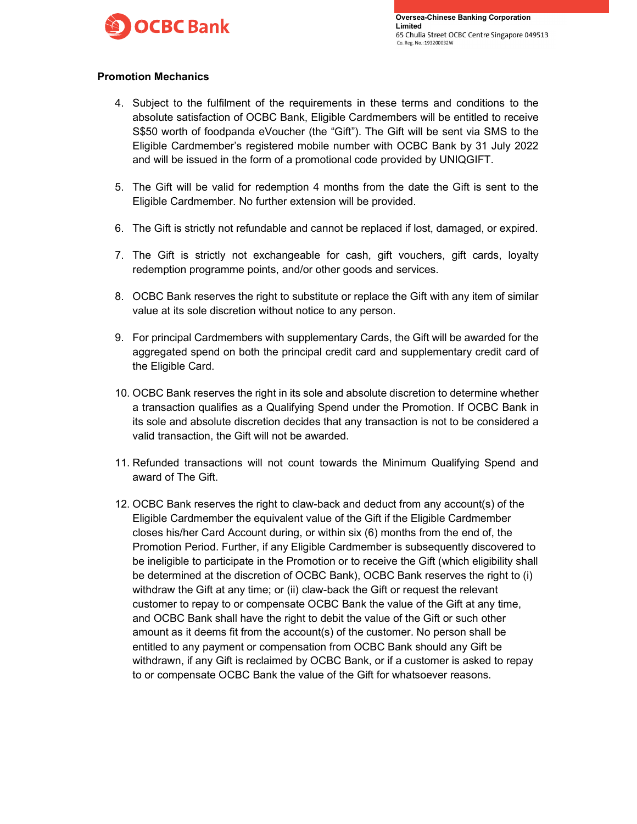

Oversea-Chinese Banking Corporation<br>Limited<br>65 Chulia Street OCBC Centre Singapore 049513<br>Co. Reg. No.: 193200032W Limited

#### Promotion Mechanics

- 4. Subject to the fulfilment of the requirements in these terms and conditions to the absolute satisfaction of OCBC Bank, Eligible Cardmembers will be entitled to receive S\$50 worth of foodpanda eVoucher (the "Gift"). The Gift will be sent via SMS to the Eligible Cardmember's registered mobile number with OCBC Bank by 31 July 2022 and will be issued in the form of a promotional code provided by UNIQGIFT.
- 5. The Gift will be valid for redemption 4 months from the date the Gift is sent to the Eligible Cardmember. No further extension will be provided.
- 6. The Gift is strictly not refundable and cannot be replaced if lost, damaged, or expired.
- 7. The Gift is strictly not exchangeable for cash, gift vouchers, gift cards, loyalty redemption programme points, and/or other goods and services.
- 8. OCBC Bank reserves the right to substitute or replace the Gift with any item of similar value at its sole discretion without notice to any person.
- 9. For principal Cardmembers with supplementary Cards, the Gift will be awarded for the aggregated spend on both the principal credit card and supplementary credit card of the Eligible Card.
- 10. OCBC Bank reserves the right in its sole and absolute discretion to determine whether a transaction qualifies as a Qualifying Spend under the Promotion. If OCBC Bank in its sole and absolute discretion decides that any transaction is not to be considered a valid transaction, the Gift will not be awarded.
- 11. Refunded transactions will not count towards the Minimum Qualifying Spend and award of The Gift.
- 12. OCBC Bank reserves the right to claw-back and deduct from any account(s) of the Eligible Cardmember the equivalent value of the Gift if the Eligible Cardmember closes his/her Card Account during, or within six (6) months from the end of, the Promotion Period. Further, if any Eligible Cardmember is subsequently discovered to be ineligible to participate in the Promotion or to receive the Gift (which eligibility shall be determined at the discretion of OCBC Bank), OCBC Bank reserves the right to (i) withdraw the Gift at any time; or (ii) claw-back the Gift or request the relevant customer to repay to or compensate OCBC Bank the value of the Gift at any time, and OCBC Bank shall have the right to debit the value of the Gift or such other amount as it deems fit from the account(s) of the customer. No person shall be entitled to any payment or compensation from OCBC Bank should any Gift be withdrawn, if any Gift is reclaimed by OCBC Bank, or if a customer is asked to repay to or compensate OCBC Bank the value of the Gift for whatsoever reasons.